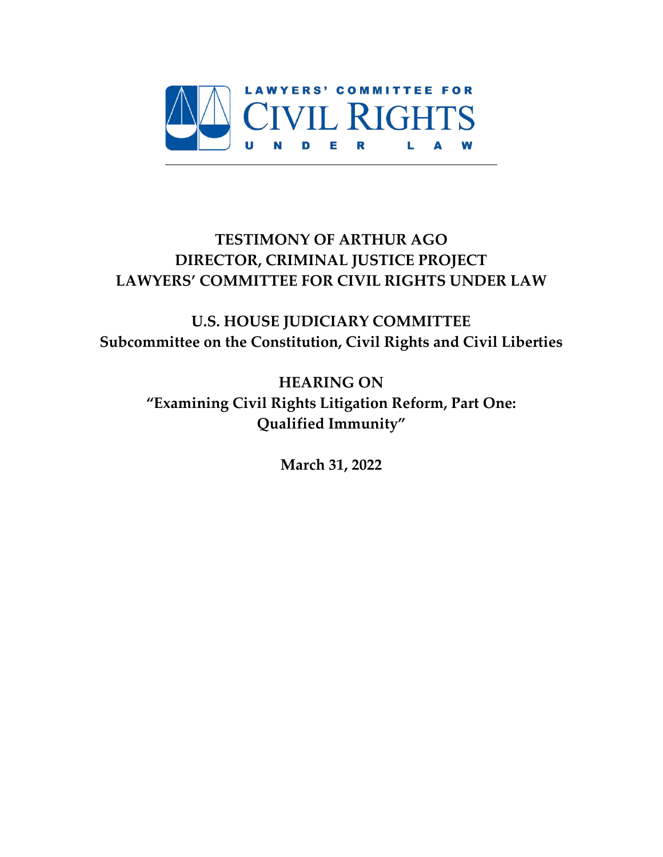

# **TESTIMONY OF ARTHUR AGO DIRECTOR, CRIMINAL JUSTICE PROJECT LAWYERS' COMMITTEE FOR CIVIL RIGHTS UNDER LAW**

**U.S. HOUSE JUDICIARY COMMITTEE Subcommittee on the Constitution, Civil Rights and Civil Liberties**

**HEARING ON "Examining Civil Rights Litigation Reform, Part One: Qualified Immunity"**

**March 31, 2022**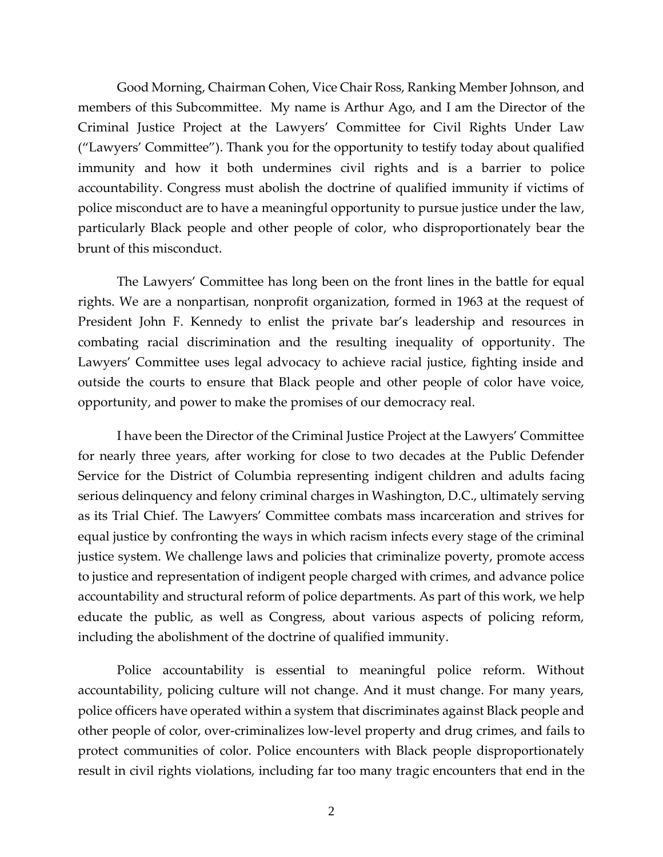Good Morning, Chairman Cohen, Vice Chair Ross, Ranking Member Johnson, and members of this Subcommittee. My name is Arthur Ago, and I am the Director of the Criminal Justice Project at the Lawyers' Committee for Civil Rights Under Law ("Lawyers' Committee"). Thank you for the opportunity to testify today about qualified immunity and how it both undermines civil rights and is a barrier to police accountability. Congress must abolish the doctrine of qualified immunity if victims of police misconduct are to have a meaningful opportunity to pursue justice under the law, particularly Black people and other people of color, who disproportionately bear the brunt of this misconduct.

The Lawyers' Committee has long been on the front lines in the battle for equal rights. We are a nonpartisan, nonprofit organization, formed in 1963 at the request of President John F. Kennedy to enlist the private bar's leadership and resources in combating racial discrimination and the resulting inequality of opportunity. The Lawyers' Committee uses legal advocacy to achieve racial justice, fighting inside and outside the courts to ensure that Black people and other people of color have voice, opportunity, and power to make the promises of our democracy real.

I have been the Director of the Criminal Justice Project at the Lawyers' Committee for nearly three years, after working for close to two decades at the Public Defender Service for the District of Columbia representing indigent children and adults facing serious delinquency and felony criminal charges in Washington, D.C., ultimately serving as its Trial Chief. The Lawyers' Committee combats mass incarceration and strives for equal justice by confronting the ways in which racism infects every stage of the criminal justice system. We challenge laws and policies that criminalize poverty, promote access to justice and representation of indigent people charged with crimes, and advance police accountability and structural reform of police departments. As part of this work, we help educate the public, as well as Congress, about various aspects of policing reform, including the abolishment of the doctrine of qualified immunity.

Police accountability is essential to meaningful police reform. Without accountability, policing culture will not change. And it must change. For many years, police officers have operated within a system that discriminates against Black people and other people of color, over-criminalizes low-level property and drug crimes, and fails to protect communities of color. Police encounters with Black people disproportionately result in civil rights violations, including far too many tragic encounters that end in the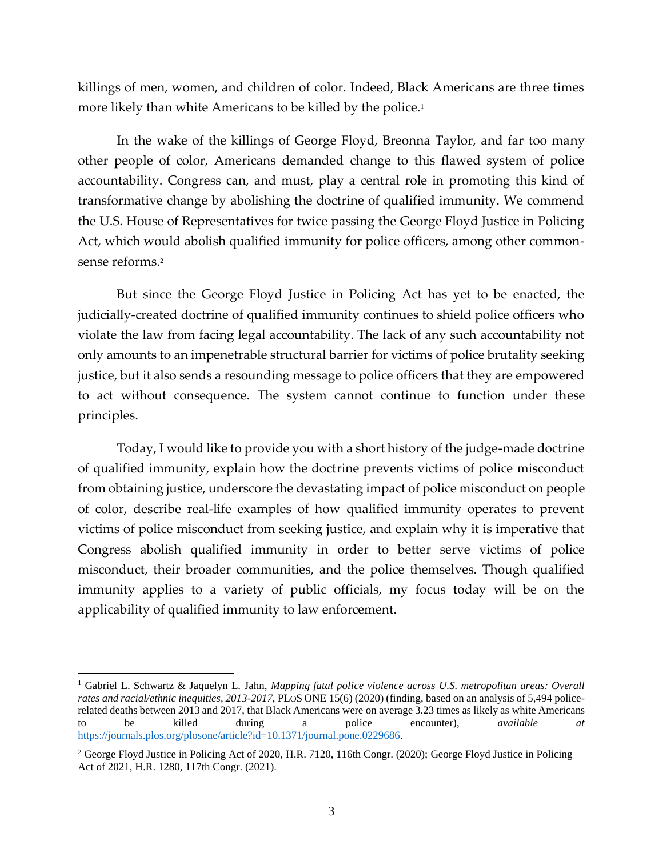killings of men, women, and children of color. Indeed, Black Americans are three times more likely than white Americans to be killed by the police.<sup>1</sup>

In the wake of the killings of George Floyd, Breonna Taylor, and far too many other people of color, Americans demanded change to this flawed system of police accountability. Congress can, and must, play a central role in promoting this kind of transformative change by abolishing the doctrine of qualified immunity. We commend the U.S. House of Representatives for twice passing the George Floyd Justice in Policing Act, which would abolish qualified immunity for police officers, among other commonsense reforms.<sup>2</sup>

But since the George Floyd Justice in Policing Act has yet to be enacted, the judicially-created doctrine of qualified immunity continues to shield police officers who violate the law from facing legal accountability. The lack of any such accountability not only amounts to an impenetrable structural barrier for victims of police brutality seeking justice, but it also sends a resounding message to police officers that they are empowered to act without consequence. The system cannot continue to function under these principles.

Today, I would like to provide you with a short history of the judge-made doctrine of qualified immunity, explain how the doctrine prevents victims of police misconduct from obtaining justice, underscore the devastating impact of police misconduct on people of color, describe real-life examples of how qualified immunity operates to prevent victims of police misconduct from seeking justice, and explain why it is imperative that Congress abolish qualified immunity in order to better serve victims of police misconduct, their broader communities, and the police themselves. Though qualified immunity applies to a variety of public officials, my focus today will be on the applicability of qualified immunity to law enforcement.

<sup>1</sup> Gabriel L. Schwartz & Jaquelyn L. Jahn, *Mapping fatal police violence across U.S. metropolitan areas: Overall rates and racial/ethnic inequities, 2013-2017*, PLOS ONE 15(6) (2020) (finding, based on an analysis of 5,494 policerelated deaths between 2013 and 2017, that Black Americans were on average 3.23 times as likely as white Americans to be killed during a police encounter), *available at*  [https://journals.plos.org/plosone/article?id=10.1371/journal.pone.0229686.](https://journals.plos.org/plosone/article?id=10.1371/journal.pone.0229686)

<sup>2</sup> George Floyd Justice in Policing Act of 2020, H.R. 7120, 116th Congr. (2020); George Floyd Justice in Policing Act of 2021, H.R. 1280, 117th Congr. (2021).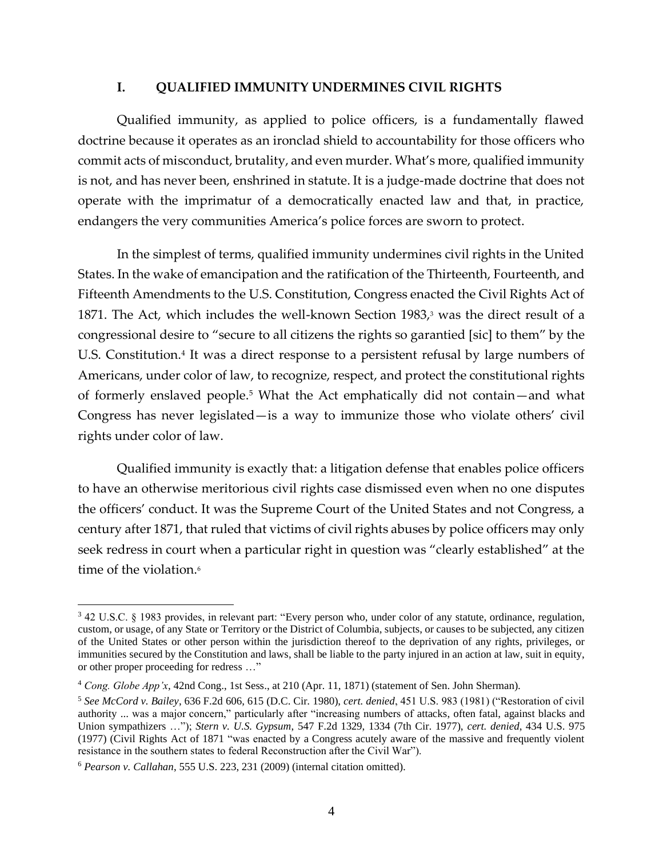#### **I. QUALIFIED IMMUNITY UNDERMINES CIVIL RIGHTS**

Qualified immunity, as applied to police officers, is a fundamentally flawed doctrine because it operates as an ironclad shield to accountability for those officers who commit acts of misconduct, brutality, and even murder. What's more, qualified immunity is not, and has never been, enshrined in statute. It is a judge-made doctrine that does not operate with the imprimatur of a democratically enacted law and that, in practice, endangers the very communities America's police forces are sworn to protect.

In the simplest of terms, qualified immunity undermines civil rights in the United States. In the wake of emancipation and the ratification of the Thirteenth, Fourteenth, and Fifteenth Amendments to the U.S. Constitution, Congress enacted the Civil Rights Act of 1871. The Act, which includes the well-known Section 1983, $3$  was the direct result of a congressional desire to "secure to all citizens the rights so garantied [sic] to them" by the U.S. Constitution.<sup>4</sup> It was a direct response to a persistent refusal by large numbers of Americans, under color of law, to recognize, respect, and protect the constitutional rights of formerly enslaved people.<sup>5</sup> What the Act emphatically did not contain—and what Congress has never legislated—is a way to immunize those who violate others' civil rights under color of law.

Qualified immunity is exactly that: a litigation defense that enables police officers to have an otherwise meritorious civil rights case dismissed even when no one disputes the officers' conduct. It was the Supreme Court of the United States and not Congress, a century after 1871, that ruled that victims of civil rights abuses by police officers may only seek redress in court when a particular right in question was "clearly established" at the time of the violation.<sup>6</sup>

<sup>3</sup> 42 U.S.C. § 1983 provides, in relevant part: "Every person who, under color of any statute, ordinance, regulation, custom, or usage, of any State or Territory or the District of Columbia, subjects, or causes to be subjected, any citizen of the United States or other person within the jurisdiction thereof to the deprivation of any rights, privileges, or immunities secured by the Constitution and laws, shall be liable to the party injured in an action at law, suit in equity, or other proper proceeding for redress …"

<sup>4</sup> *Cong. Globe App'x*, 42nd Cong., 1st Sess., at 210 (Apr. 11, 1871) (statement of Sen. John Sherman).

<sup>5</sup> *See McCord v. Bailey*, 636 F.2d 606, 615 (D.C. Cir. 1980), *cert. denied*, 451 U.S. 983 (1981) ("Restoration of civil authority ... was a major concern," particularly after "increasing numbers of attacks, often fatal, against blacks and Union sympathizers …"); *Stern v. U.S. Gypsum*, 547 F.2d 1329, 1334 (7th Cir. 1977), *cert. denied*, 434 U.S. 975 (1977) (Civil Rights Act of 1871 "was enacted by a Congress acutely aware of the massive and frequently violent resistance in the southern states to federal Reconstruction after the Civil War").

<sup>6</sup> *Pearson v. Callahan*, 555 U.S. 223, 231 (2009) (internal citation omitted).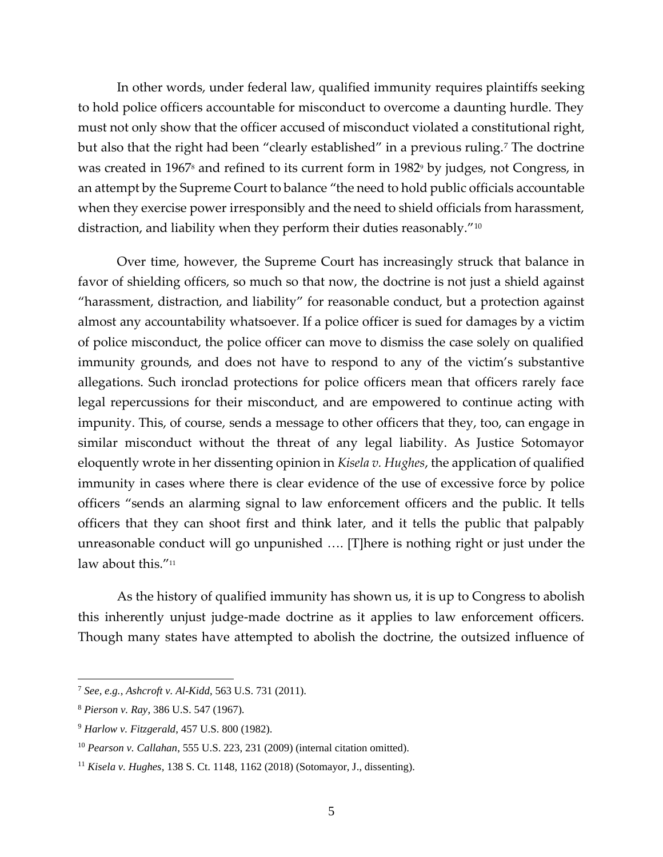In other words, under federal law, qualified immunity requires plaintiffs seeking to hold police officers accountable for misconduct to overcome a daunting hurdle. They must not only show that the officer accused of misconduct violated a constitutional right, but also that the right had been "clearly established" in a previous ruling.<sup>7</sup> The doctrine was created in 1967<sup>8</sup> and refined to its current form in 1982<sup>9</sup> by judges, not Congress, in an attempt by the Supreme Court to balance "the need to hold public officials accountable when they exercise power irresponsibly and the need to shield officials from harassment, distraction, and liability when they perform their duties reasonably."<sup>10</sup>

Over time, however, the Supreme Court has increasingly struck that balance in favor of shielding officers, so much so that now, the doctrine is not just a shield against "harassment, distraction, and liability" for reasonable conduct, but a protection against almost any accountability whatsoever. If a police officer is sued for damages by a victim of police misconduct, the police officer can move to dismiss the case solely on qualified immunity grounds, and does not have to respond to any of the victim's substantive allegations. Such ironclad protections for police officers mean that officers rarely face legal repercussions for their misconduct, and are empowered to continue acting with impunity. This, of course, sends a message to other officers that they, too, can engage in similar misconduct without the threat of any legal liability. As Justice Sotomayor eloquently wrote in her dissenting opinion in *Kisela v. Hughes*, the application of qualified immunity in cases where there is clear evidence of the use of excessive force by police officers "sends an alarming signal to law enforcement officers and the public. It tells officers that they can shoot first and think later, and it tells the public that palpably unreasonable conduct will go unpunished …. [T]here is nothing right or just under the law about this."<sup>11</sup>

As the history of qualified immunity has shown us, it is up to Congress to abolish this inherently unjust judge-made doctrine as it applies to law enforcement officers. Though many states have attempted to abolish the doctrine, the outsized influence of

<sup>7</sup> *See, e.g.*, *Ashcroft v. Al-Kidd*, 563 U.S. 731 (2011).

<sup>8</sup> *Pierson v. Ray*, 386 U.S. 547 (1967).

<sup>9</sup> *Harlow v. Fitzgerald*, 457 U.S. 800 (1982).

<sup>10</sup> *Pearson v. Callahan*, 555 U.S. 223, 231 (2009) (internal citation omitted).

<sup>11</sup> *Kisela v. Hughes*, 138 S. Ct. 1148, 1162 (2018) (Sotomayor, J., dissenting).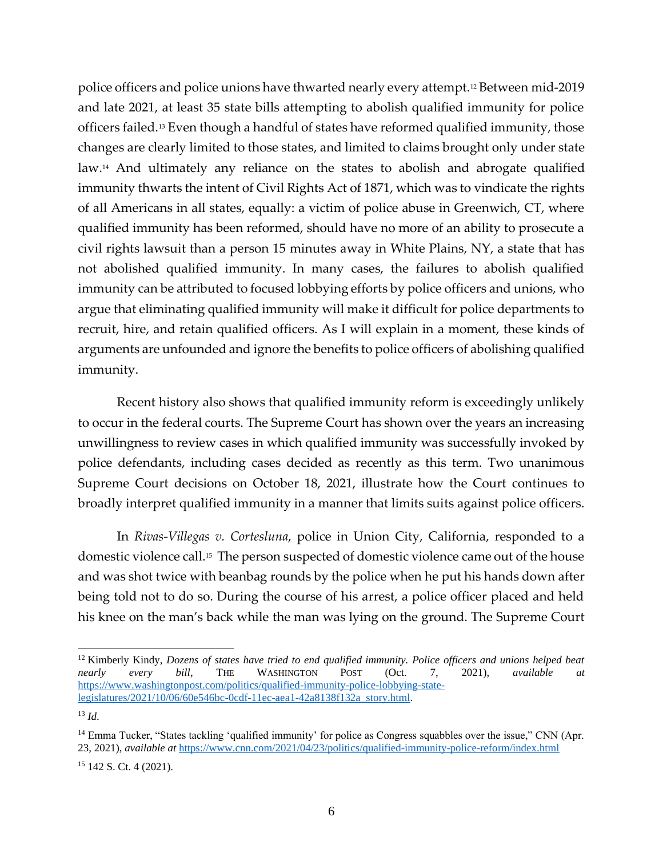police officers and police unions have thwarted nearly every attempt.<sup>12</sup> Between mid-2019 and late 2021, at least 35 state bills attempting to abolish qualified immunity for police officers failed.<sup>13</sup> Even though a handful of states have reformed qualified immunity, those changes are clearly limited to those states, and limited to claims brought only under state law. <sup>14</sup> And ultimately any reliance on the states to abolish and abrogate qualified immunity thwarts the intent of Civil Rights Act of 1871, which was to vindicate the rights of all Americans in all states, equally: a victim of police abuse in Greenwich, CT, where qualified immunity has been reformed, should have no more of an ability to prosecute a civil rights lawsuit than a person 15 minutes away in White Plains, NY, a state that has not abolished qualified immunity. In many cases, the failures to abolish qualified immunity can be attributed to focused lobbying efforts by police officers and unions, who argue that eliminating qualified immunity will make it difficult for police departments to recruit, hire, and retain qualified officers. As I will explain in a moment, these kinds of arguments are unfounded and ignore the benefits to police officers of abolishing qualified immunity.

Recent history also shows that qualified immunity reform is exceedingly unlikely to occur in the federal courts. The Supreme Court has shown over the years an increasing unwillingness to review cases in which qualified immunity was successfully invoked by police defendants, including cases decided as recently as this term. Two unanimous Supreme Court decisions on October 18, 2021, illustrate how the Court continues to broadly interpret qualified immunity in a manner that limits suits against police officers.

In *Rivas-Villegas v. Cortesluna*, police in Union City, California, responded to a domestic violence call.<sup>15</sup> The person suspected of domestic violence came out of the house and was shot twice with beanbag rounds by the police when he put his hands down after being told not to do so. During the course of his arrest, a police officer placed and held his knee on the man's back while the man was lying on the ground. The Supreme Court

<sup>12</sup> Kimberly Kindy, *Dozens of states have tried to end qualified immunity. Police officers and unions helped beat nearly every bill*, THE WASHINGTON POST (Oct. 7, 2021), *available at*  [https://www.washingtonpost.com/politics/qualified-immunity-police-lobbying-state](https://www.washingtonpost.com/politics/qualified-immunity-police-lobbying-state-legislatures/2021/10/06/60e546bc-0cdf-11ec-aea1-42a8138f132a_story.html)[legislatures/2021/10/06/60e546bc-0cdf-11ec-aea1-42a8138f132a\\_story.html.](https://www.washingtonpost.com/politics/qualified-immunity-police-lobbying-state-legislatures/2021/10/06/60e546bc-0cdf-11ec-aea1-42a8138f132a_story.html)

 $^{13}$  *Id.* 

<sup>&</sup>lt;sup>14</sup> Emma Tucker, "States tackling 'qualified immunity' for police as Congress squabbles over the issue," CNN (Apr. 23, 2021), *available at* <https://www.cnn.com/2021/04/23/politics/qualified-immunity-police-reform/index.html> <sup>15</sup> 142 S. Ct. 4 (2021).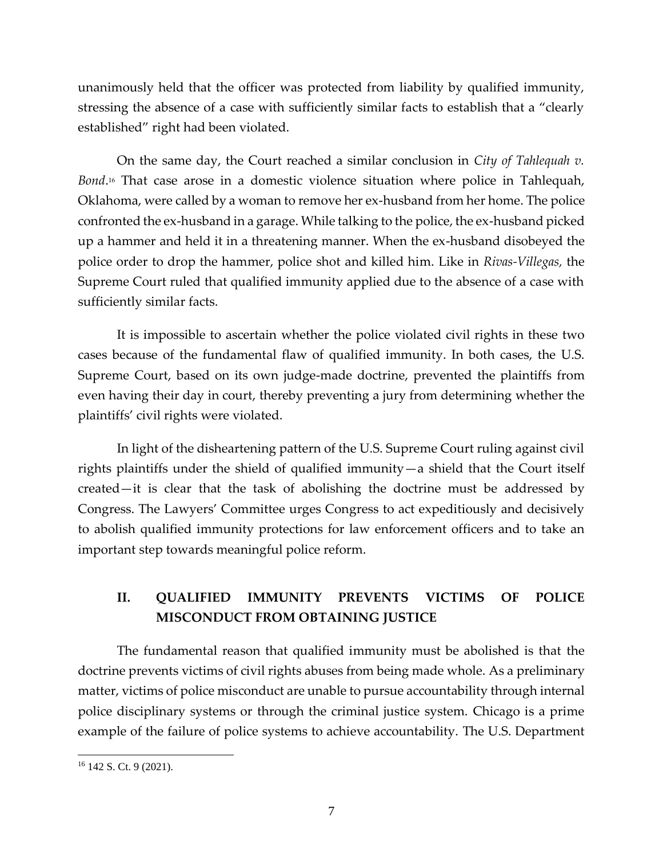unanimously held that the officer was protected from liability by qualified immunity, stressing the absence of a case with sufficiently similar facts to establish that a "clearly established" right had been violated.

On the same day, the Court reached a similar conclusion in *City of Tahlequah v. Bond*. <sup>16</sup> That case arose in a domestic violence situation where police in Tahlequah, Oklahoma, were called by a woman to remove her ex-husband from her home. The police confronted the ex-husband in a garage. While talking to the police, the ex-husband picked up a hammer and held it in a threatening manner. When the ex-husband disobeyed the police order to drop the hammer, police shot and killed him. Like in *Rivas-Villegas,* the Supreme Court ruled that qualified immunity applied due to the absence of a case with sufficiently similar facts.

It is impossible to ascertain whether the police violated civil rights in these two cases because of the fundamental flaw of qualified immunity. In both cases, the U.S. Supreme Court, based on its own judge-made doctrine, prevented the plaintiffs from even having their day in court, thereby preventing a jury from determining whether the plaintiffs' civil rights were violated.

In light of the disheartening pattern of the U.S. Supreme Court ruling against civil rights plaintiffs under the shield of qualified immunity—a shield that the Court itself created—it is clear that the task of abolishing the doctrine must be addressed by Congress. The Lawyers' Committee urges Congress to act expeditiously and decisively to abolish qualified immunity protections for law enforcement officers and to take an important step towards meaningful police reform.

# **II. QUALIFIED IMMUNITY PREVENTS VICTIMS OF POLICE MISCONDUCT FROM OBTAINING JUSTICE**

The fundamental reason that qualified immunity must be abolished is that the doctrine prevents victims of civil rights abuses from being made whole. As a preliminary matter, victims of police misconduct are unable to pursue accountability through internal police disciplinary systems or through the criminal justice system. Chicago is a prime example of the failure of police systems to achieve accountability. The U.S. Department

<sup>&</sup>lt;sup>16</sup> 142 S. Ct. 9 (2021).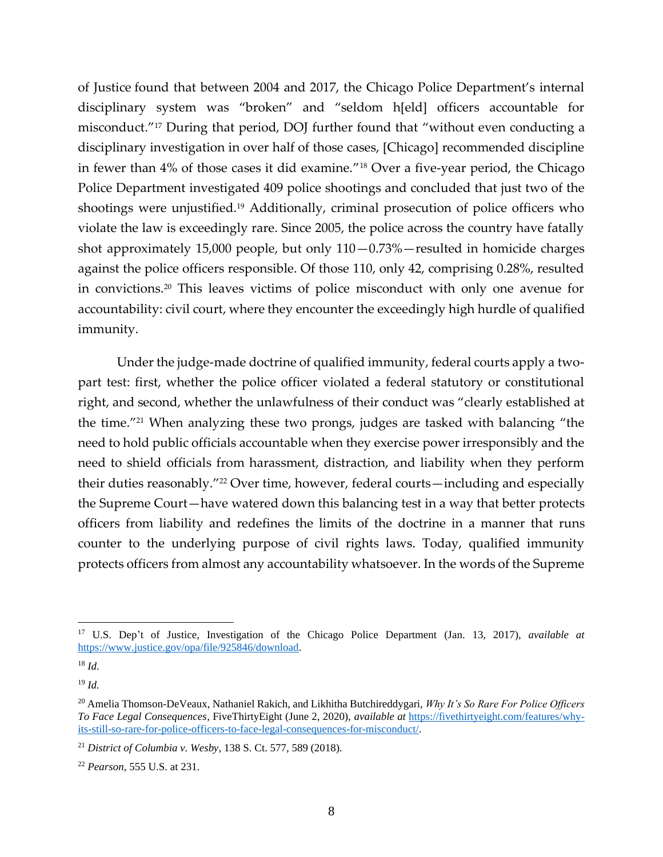of Justice found that between 2004 and 2017, the Chicago Police Department's internal disciplinary system was "broken" and "seldom h[eld] officers accountable for misconduct."<sup>17</sup> During that period, DOJ further found that "without even conducting a disciplinary investigation in over half of those cases, [Chicago] recommended discipline in fewer than 4% of those cases it did examine."<sup>18</sup> Over a five-year period, the Chicago Police Department investigated 409 police shootings and concluded that just two of the shootings were unjustified.<sup>19</sup> Additionally, criminal prosecution of police officers who violate the law is exceedingly rare. Since 2005, the police across the country have fatally shot approximately 15,000 people, but only 110—0.73%—resulted in homicide charges against the police officers responsible. Of those 110, only 42, comprising 0.28%, resulted in convictions.<sup>20</sup> This leaves victims of police misconduct with only one avenue for accountability: civil court, where they encounter the exceedingly high hurdle of qualified immunity.

Under the judge-made doctrine of qualified immunity, federal courts apply a twopart test: first, whether the police officer violated a federal statutory or constitutional right, and second, whether the unlawfulness of their conduct was "clearly established at the time."<sup>21</sup> When analyzing these two prongs, judges are tasked with balancing "the need to hold public officials accountable when they exercise power irresponsibly and the need to shield officials from harassment, distraction, and liability when they perform their duties reasonably."<sup>22</sup> Over time, however, federal courts—including and especially the Supreme Court—have watered down this balancing test in a way that better protects officers from liability and redefines the limits of the doctrine in a manner that runs counter to the underlying purpose of civil rights laws. Today, qualified immunity protects officers from almost any accountability whatsoever. In the words of the Supreme

<sup>17</sup> U.S. Dep't of Justice, Investigation of the Chicago Police Department (Jan. 13, 2017), *available at* [https://www.justice.gov/opa/file/925846/download.](https://www.justice.gov/opa/file/925846/download)

 $^{18}$  *Id.* 

<sup>19</sup> *Id.*

<sup>20</sup> Amelia Thomson-DeVeaux, Nathaniel Rakich, and Likhitha Butchireddygari, *Why It's So Rare For Police Officers To Face Legal Consequences*, FiveThirtyEight (June 2, 2020), *available at* [https://fivethirtyeight.com/features/why](https://fivethirtyeight.com/features/why-its-still-so-rare-for-police-officers-to-face-legal-consequences-for-misconduct/)[its-still-so-rare-for-police-officers-to-face-legal-consequences-for-misconduct/.](https://fivethirtyeight.com/features/why-its-still-so-rare-for-police-officers-to-face-legal-consequences-for-misconduct/)

<sup>21</sup> *District of Columbia v. Wesby*, 138 S. Ct. 577, 589 (2018).

<sup>22</sup> *Pearson*, 555 U.S. at 231.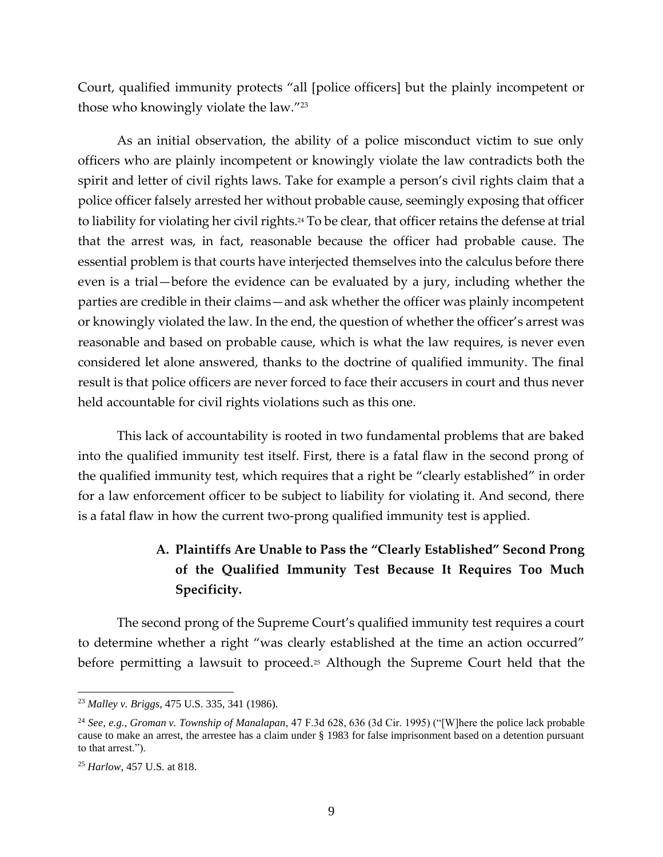Court, qualified immunity protects "all [police officers] but the plainly incompetent or those who knowingly violate the law."<sup>23</sup>

As an initial observation, the ability of a police misconduct victim to sue only officers who are plainly incompetent or knowingly violate the law contradicts both the spirit and letter of civil rights laws. Take for example a person's civil rights claim that a police officer falsely arrested her without probable cause, seemingly exposing that officer to liability for violating her civil rights.<sup>24</sup> To be clear, that officer retains the defense at trial that the arrest was, in fact, reasonable because the officer had probable cause. The essential problem is that courts have interjected themselves into the calculus before there even is a trial—before the evidence can be evaluated by a jury, including whether the parties are credible in their claims—and ask whether the officer was plainly incompetent or knowingly violated the law. In the end, the question of whether the officer's arrest was reasonable and based on probable cause, which is what the law requires, is never even considered let alone answered, thanks to the doctrine of qualified immunity. The final result is that police officers are never forced to face their accusers in court and thus never held accountable for civil rights violations such as this one.

This lack of accountability is rooted in two fundamental problems that are baked into the qualified immunity test itself. First, there is a fatal flaw in the second prong of the qualified immunity test, which requires that a right be "clearly established" in order for a law enforcement officer to be subject to liability for violating it. And second, there is a fatal flaw in how the current two-prong qualified immunity test is applied.

# **A. Plaintiffs Are Unable to Pass the "Clearly Established" Second Prong of the Qualified Immunity Test Because It Requires Too Much Specificity.**

The second prong of the Supreme Court's qualified immunity test requires a court to determine whether a right "was clearly established at the time an action occurred" before permitting a lawsuit to proceed.<sup>25</sup> Although the Supreme Court held that the

<sup>23</sup> *Malley v. Briggs*, 475 U.S. 335, 341 (1986).

<sup>24</sup> *See, e.g., Groman v. Township of Manalapan*, 47 F.3d 628, 636 (3d Cir. 1995) ("[W]here the police lack probable cause to make an arrest, the arrestee has a claim under § 1983 for false imprisonment based on a detention pursuant to that arrest.").

<sup>25</sup> *Harlow*, 457 U.S. at 818.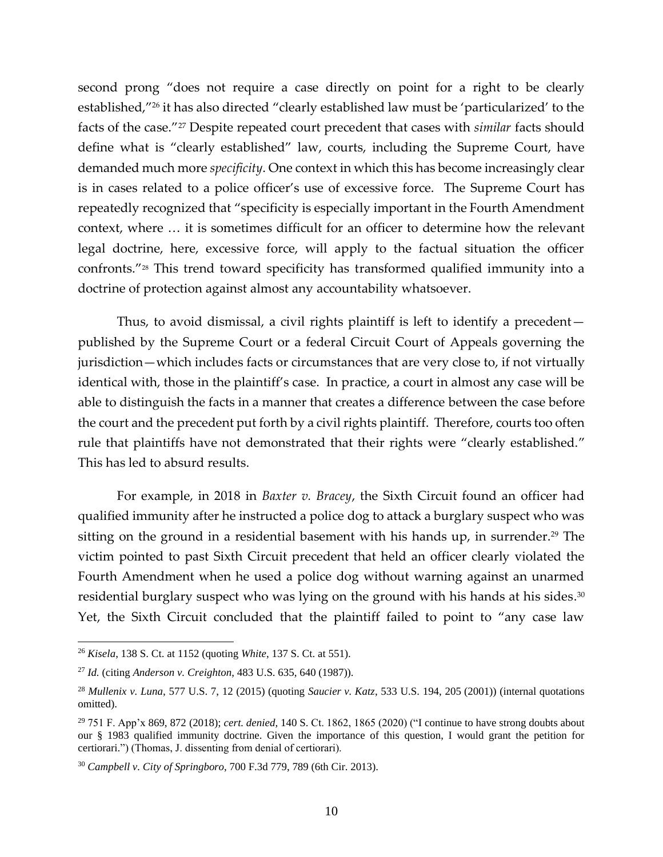second prong "does not require a case directly on point for a right to be clearly established,"<sup>26</sup> it has also directed "clearly established law must be 'particularized' to the facts of the case."<sup>27</sup> Despite repeated court precedent that cases with *similar* facts should define what is "clearly established" law, courts, including the Supreme Court, have demanded much more *specificity*. One context in which this has become increasingly clear is in cases related to a police officer's use of excessive force. The Supreme Court has repeatedly recognized that "specificity is especially important in the Fourth Amendment context, where … it is sometimes difficult for an officer to determine how the relevant legal doctrine, here, excessive force, will apply to the factual situation the officer confronts."<sup>28</sup> This trend toward specificity has transformed qualified immunity into a doctrine of protection against almost any accountability whatsoever.

Thus, to avoid dismissal, a civil rights plaintiff is left to identify a precedent published by the Supreme Court or a federal Circuit Court of Appeals governing the jurisdiction—which includes facts or circumstances that are very close to, if not virtually identical with, those in the plaintiff's case. In practice, a court in almost any case will be able to distinguish the facts in a manner that creates a difference between the case before the court and the precedent put forth by a civil rights plaintiff. Therefore, courts too often rule that plaintiffs have not demonstrated that their rights were "clearly established." This has led to absurd results.

For example, in 2018 in *Baxter v. Bracey*, the Sixth Circuit found an officer had qualified immunity after he instructed a police dog to attack a burglary suspect who was sitting on the ground in a residential basement with his hands up, in surrender.<sup>29</sup> The victim pointed to past Sixth Circuit precedent that held an officer clearly violated the Fourth Amendment when he used a police dog without warning against an unarmed residential burglary suspect who was lying on the ground with his hands at his sides. 30 Yet, the Sixth Circuit concluded that the plaintiff failed to point to "any case law

<sup>26</sup> *Kisela*, 138 S. Ct. at 1152 (quoting *White*, 137 S. Ct. at 551).

<sup>27</sup> *Id.* (citing *Anderson v. Creighton*, 483 U.S. 635, 640 (1987)).

<sup>28</sup> *Mullenix v. Luna*, 577 U.S. 7, 12 (2015) (quoting *Saucier v. Katz*, 533 U.S. 194, 205 (2001)) (internal quotations omitted).

<sup>29</sup> 751 F. App'x 869, 872 (2018); *cert. denied,* 140 S. Ct. 1862, 1865 (2020) ("I continue to have strong doubts about our § 1983 qualified immunity doctrine. Given the importance of this question, I would grant the petition for certiorari.") (Thomas, J. dissenting from denial of certiorari).

<sup>30</sup> *Campbell v. City of Springboro*, 700 F.3d 779, 789 (6th Cir. 2013).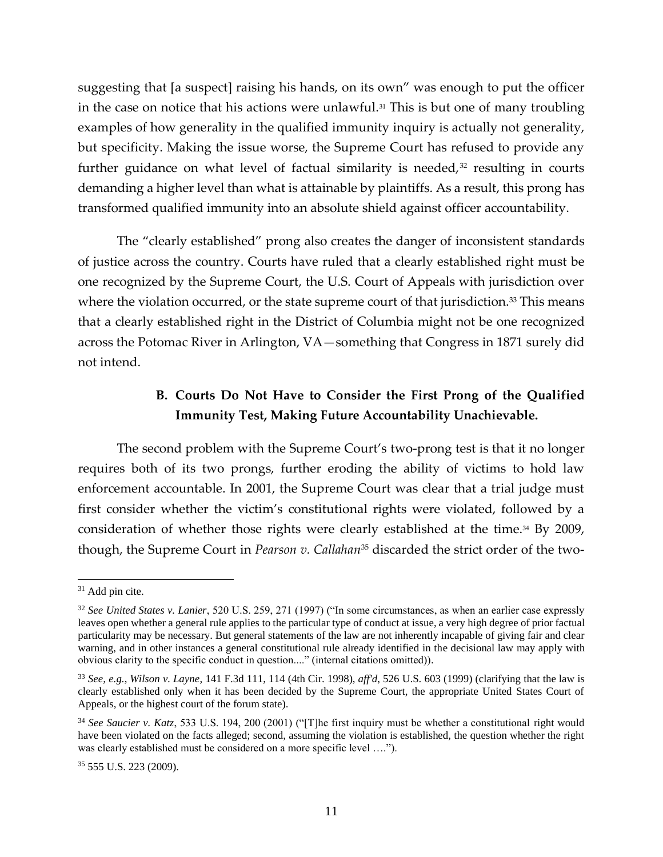suggesting that [a suspect] raising his hands, on its own" was enough to put the officer in the case on notice that his actions were unlawful.<sup>31</sup> This is but one of many troubling examples of how generality in the qualified immunity inquiry is actually not generality, but specificity. Making the issue worse, the Supreme Court has refused to provide any further guidance on what level of factual similarity is needed, $32$  resulting in courts demanding a higher level than what is attainable by plaintiffs. As a result, this prong has transformed qualified immunity into an absolute shield against officer accountability.

The "clearly established" prong also creates the danger of inconsistent standards of justice across the country. Courts have ruled that a clearly established right must be one recognized by the Supreme Court, the U.S. Court of Appeals with jurisdiction over where the violation occurred, or the state supreme court of that jurisdiction.<sup>33</sup> This means that a clearly established right in the District of Columbia might not be one recognized across the Potomac River in Arlington, VA—something that Congress in 1871 surely did not intend.

### **B. Courts Do Not Have to Consider the First Prong of the Qualified Immunity Test, Making Future Accountability Unachievable.**

The second problem with the Supreme Court's two-prong test is that it no longer requires both of its two prongs, further eroding the ability of victims to hold law enforcement accountable. In 2001, the Supreme Court was clear that a trial judge must first consider whether the victim's constitutional rights were violated, followed by a consideration of whether those rights were clearly established at the time.<sup>34</sup> By 2009, though, the Supreme Court in *Pearson v. Callahan*<sup>35</sup> discarded the strict order of the two-

<sup>&</sup>lt;sup>31</sup> Add pin cite.

<sup>32</sup> *See United States v. Lanier*, 520 U.S. 259, 271 (1997) ("In some circumstances, as when an earlier case expressly leaves open whether a general rule applies to the particular type of conduct at issue, a very high degree of prior factual particularity may be necessary. But general statements of the law are not inherently incapable of giving fair and clear warning, and in other instances a general constitutional rule already identified in the decisional law may apply with obvious clarity to the specific conduct in question...." (internal citations omitted)).

<sup>33</sup> *See, e.g.*, *Wilson v. Layne*, 141 F.3d 111, 114 (4th Cir. 1998), *aff'd*, 526 U.S. 603 (1999) (clarifying that the law is clearly established only when it has been decided by the Supreme Court, the appropriate United States Court of Appeals, or the highest court of the forum state).

<sup>34</sup> *See Saucier v. Katz*, 533 U.S. 194, 200 (2001) ("[T]he first inquiry must be whether a constitutional right would have been violated on the facts alleged; second, assuming the violation is established, the question whether the right was clearly established must be considered on a more specific level ….").

<sup>35</sup> 555 U.S. 223 (2009).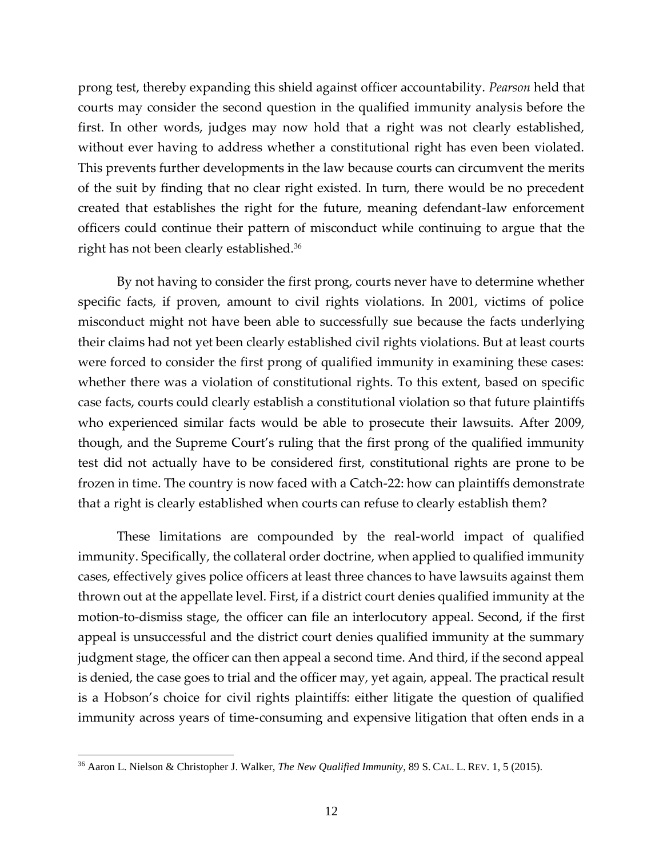prong test, thereby expanding this shield against officer accountability. *Pearson* held that courts may consider the second question in the qualified immunity analysis before the first. In other words, judges may now hold that a right was not clearly established, without ever having to address whether a constitutional right has even been violated. This prevents further developments in the law because courts can circumvent the merits of the suit by finding that no clear right existed. In turn, there would be no precedent created that establishes the right for the future, meaning defendant-law enforcement officers could continue their pattern of misconduct while continuing to argue that the right has not been clearly established.<sup>36</sup>

By not having to consider the first prong, courts never have to determine whether specific facts, if proven, amount to civil rights violations. In 2001, victims of police misconduct might not have been able to successfully sue because the facts underlying their claims had not yet been clearly established civil rights violations. But at least courts were forced to consider the first prong of qualified immunity in examining these cases: whether there was a violation of constitutional rights. To this extent, based on specific case facts, courts could clearly establish a constitutional violation so that future plaintiffs who experienced similar facts would be able to prosecute their lawsuits. After 2009, though, and the Supreme Court's ruling that the first prong of the qualified immunity test did not actually have to be considered first, constitutional rights are prone to be frozen in time. The country is now faced with a Catch-22: how can plaintiffs demonstrate that a right is clearly established when courts can refuse to clearly establish them?

These limitations are compounded by the real-world impact of qualified immunity. Specifically, the collateral order doctrine, when applied to qualified immunity cases, effectively gives police officers at least three chances to have lawsuits against them thrown out at the appellate level. First, if a district court denies qualified immunity at the motion-to-dismiss stage, the officer can file an interlocutory appeal. Second, if the first appeal is unsuccessful and the district court denies qualified immunity at the summary judgment stage, the officer can then appeal a second time. And third, if the second appeal is denied, the case goes to trial and the officer may, yet again, appeal. The practical result is a Hobson's choice for civil rights plaintiffs: either litigate the question of qualified immunity across years of time-consuming and expensive litigation that often ends in a

<sup>36</sup> Aaron L. Nielson & Christopher J. Walker, *The New Qualified Immunity*, 89 S. CAL. L. REV. 1, 5 (2015).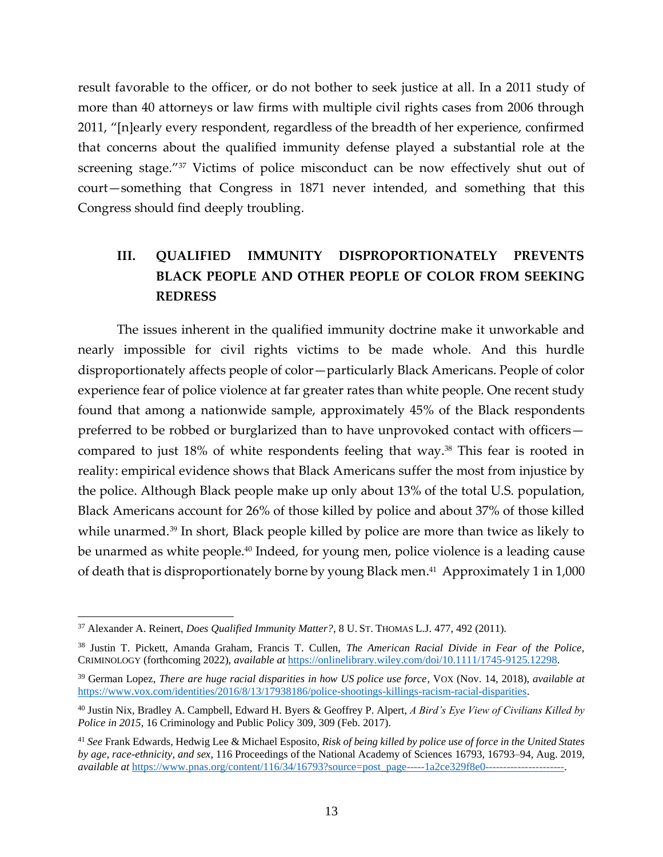result favorable to the officer, or do not bother to seek justice at all. In a 2011 study of more than 40 attorneys or law firms with multiple civil rights cases from 2006 through 2011, "[n]early every respondent, regardless of the breadth of her experience, confirmed that concerns about the qualified immunity defense played a substantial role at the screening stage."<sup>37</sup> Victims of police misconduct can be now effectively shut out of court—something that Congress in 1871 never intended, and something that this Congress should find deeply troubling.

# **III. QUALIFIED IMMUNITY DISPROPORTIONATELY PREVENTS BLACK PEOPLE AND OTHER PEOPLE OF COLOR FROM SEEKING REDRESS**

The issues inherent in the qualified immunity doctrine make it unworkable and nearly impossible for civil rights victims to be made whole. And this hurdle disproportionately affects people of color—particularly Black Americans. People of color experience fear of police violence at far greater rates than white people. One recent study found that among a nationwide sample, approximately 45% of the Black respondents preferred to be robbed or burglarized than to have unprovoked contact with officers compared to just 18% of white respondents feeling that way.<sup>38</sup> This fear is rooted in reality: empirical evidence shows that Black Americans suffer the most from injustice by the police. Although Black people make up only about 13% of the total U.S. population, Black Americans account for 26% of those killed by police and about 37% of those killed while unarmed. <sup>39</sup> In short, Black people killed by police are more than twice as likely to be unarmed as white people.<sup>40</sup> Indeed, for young men, police violence is a leading cause of death that is disproportionately borne by young Black men. 41 Approximately 1 in 1,000

<sup>37</sup> Alexander A. Reinert, *Does Qualified Immunity Matter?*, 8 U.ST. THOMAS L.J. 477, 492 (2011).

<sup>38</sup> Justin T. Pickett, Amanda Graham, Francis T. Cullen, *The American Racial Divide in Fear of the Police*, CRIMINOLOGY (forthcoming 2022), *available at* [https://onlinelibrary.wiley.com/doi/10.1111/1745-9125.12298.](https://onlinelibrary.wiley.com/doi/10.1111/1745-9125.12298)

<sup>39</sup> German Lopez, *There are huge racial disparities in how US police use force*, VOX (Nov. 14, 2018), *available at*  [https://www.vox.com/identities/2016/8/13/17938186/police-shootings-killings-racism-racial-disparities.](https://www.vox.com/identities/2016/8/13/17938186/police-shootings-killings-racism-racial-disparities)

<sup>40</sup> Justin Nix, Bradley A. Campbell, Edward H. Byers & Geoffrey P. Alpert, *A Bird's Eye View of Civilians Killed by Police in 2015*, 16 Criminology and Public Policy 309, 309 (Feb. 2017).

<sup>41</sup> *See* Frank Edwards, Hedwig Lee & Michael Esposito, *Risk of being killed by police use of force in the United States by age, race-ethnicity, and sex*, 116 Proceedings of the National Academy of Sciences 16793, 16793–94, Aug. 2019, *available at* https://www.pnas.org/content/116/34/16793?source=post\_page-----1a2ce329f8e0-----------------------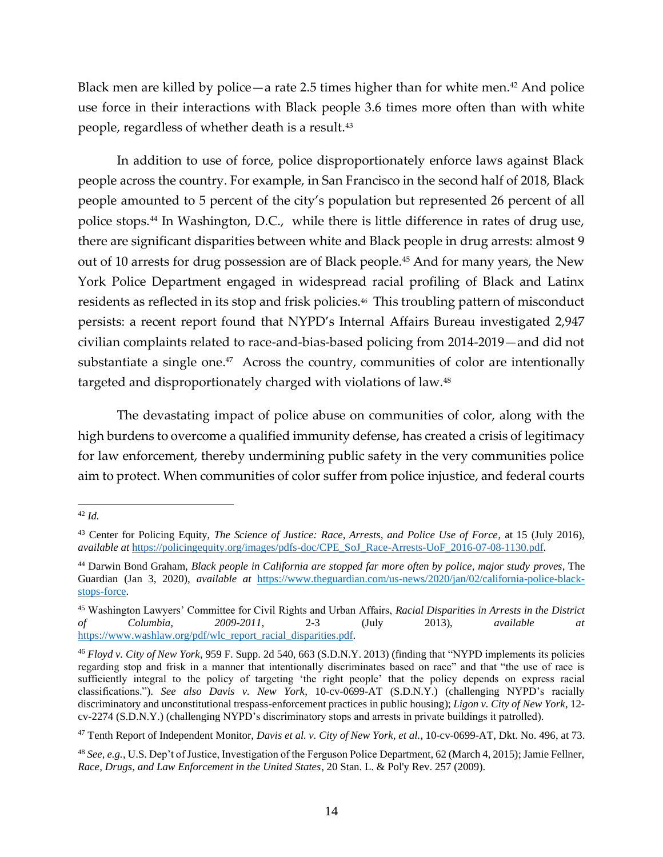Black men are killed by police—a rate 2.5 times higher than for white men. $42$  And police use force in their interactions with Black people 3.6 times more often than with white people, regardless of whether death is a result.<sup>43</sup>

In addition to use of force, police disproportionately enforce laws against Black people across the country. For example, in San Francisco in the second half of 2018, Black people amounted to 5 percent of the city's population but represented 26 percent of all police stops.<sup>44</sup> In Washington, D.C., while there is little difference in rates of drug use, there are significant disparities between white and Black people in drug arrests: almost 9 out of 10 arrests for drug possession are of Black people.<sup>45</sup> And for many years, the New York Police Department engaged in widespread racial profiling of Black and Latinx residents as reflected in its stop and frisk policies.<sup>46</sup> This troubling pattern of misconduct persists: a recent report found that NYPD's Internal Affairs Bureau investigated 2,947 civilian complaints related to race-and-bias-based policing from 2014-2019—and did not substantiate a single one. 47 Across the country, communities of color are intentionally targeted and disproportionately charged with violations of law.<sup>48</sup>

The devastating impact of police abuse on communities of color, along with the high burdens to overcome a qualified immunity defense, has created a crisis of legitimacy for law enforcement, thereby undermining public safety in the very communities police aim to protect. When communities of color suffer from police injustice, and federal courts

<sup>42</sup> *Id.*

<sup>43</sup> Center for Policing Equity, *The Science of Justice: Race, Arrests, and Police Use of Force*, at 15 (July 2016), *available at* [https://policingequity.org/images/pdfs-doc/CPE\\_SoJ\\_Race-Arrests-UoF\\_2016-07-08-1130.pdf.](https://policingequity.org/images/pdfs-doc/CPE_SoJ_Race-Arrests-UoF_2016-07-08-1130.pdf)

<sup>44</sup> Darwin Bond Graham, *Black people in California are stopped far more often by police, major study proves*, The Guardian (Jan 3, 2020), *available at* [https://www.theguardian.com/us-news/2020/jan/02/california-police-black](https://www.theguardian.com/us-news/2020/jan/02/california-police-black-stops-force)[stops-force.](https://www.theguardian.com/us-news/2020/jan/02/california-police-black-stops-force)

<sup>45</sup> Washington Lawyers' Committee for Civil Rights and Urban Affairs, *Racial Disparities in Arrests in the District of Columbia, 2009-2011*, 2-3 (July 2013), *available at* [https://www.washlaw.org/pdf/wlc\\_report\\_racial\\_disparities.pdf.](https://www.washlaw.org/pdf/wlc_report_racial_disparities.pdf)

<sup>46</sup> *Floyd v. City of New York*, 959 F. Supp. 2d 540, 663 (S.D.N.Y. 2013) (finding that "NYPD implements its policies regarding stop and frisk in a manner that intentionally discriminates based on race" and that "the use of race is sufficiently integral to the policy of targeting 'the right people' that the policy depends on express racial classifications."). *See also Davis v. New York*, 10-cv-0699-AT (S.D.N.Y.) (challenging NYPD's racially discriminatory and unconstitutional trespass-enforcement practices in public housing); *Ligon v. City of New York*, 12 cv-2274 (S.D.N.Y.) (challenging NYPD's discriminatory stops and arrests in private buildings it patrolled).

<sup>47</sup> Tenth Report of Independent Monitor, *Davis et al. v. City of New York, et al.*, 10-cv-0699-AT, Dkt. No. 496, at 73.

<sup>48</sup> *See, e.g.*, U.S. Dep't of Justice, Investigation of the Ferguson Police Department, 62 (March 4, 2015); Jamie Fellner, *Race, Drugs, and Law Enforcement in the United States*, 20 Stan. L. & Pol'y Rev. 257 (2009).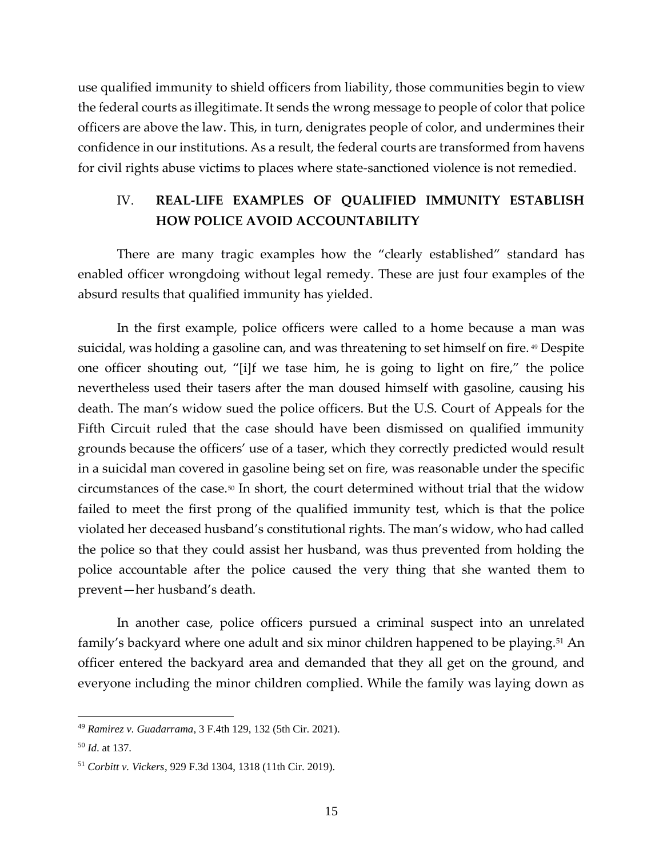use qualified immunity to shield officers from liability, those communities begin to view the federal courts as illegitimate. It sends the wrong message to people of color that police officers are above the law. This, in turn, denigrates people of color, and undermines their confidence in our institutions. As a result, the federal courts are transformed from havens for civil rights abuse victims to places where state-sanctioned violence is not remedied.

#### IV. **REAL-LIFE EXAMPLES OF QUALIFIED IMMUNITY ESTABLISH HOW POLICE AVOID ACCOUNTABILITY**

There are many tragic examples how the "clearly established" standard has enabled officer wrongdoing without legal remedy. These are just four examples of the absurd results that qualified immunity has yielded.

In the first example, police officers were called to a home because a man was suicidal, was holding a gasoline can, and was threatening to set himself on fire.<sup>49</sup> Despite one officer shouting out, "[i]f we tase him, he is going to light on fire," the police nevertheless used their tasers after the man doused himself with gasoline, causing his death. The man's widow sued the police officers. But the U.S. Court of Appeals for the Fifth Circuit ruled that the case should have been dismissed on qualified immunity grounds because the officers' use of a taser, which they correctly predicted would result in a suicidal man covered in gasoline being set on fire, was reasonable under the specific circumstances of the case.<sup>50</sup> In short, the court determined without trial that the widow failed to meet the first prong of the qualified immunity test, which is that the police violated her deceased husband's constitutional rights. The man's widow, who had called the police so that they could assist her husband, was thus prevented from holding the police accountable after the police caused the very thing that she wanted them to prevent—her husband's death.

In another case, police officers pursued a criminal suspect into an unrelated family's backyard where one adult and six minor children happened to be playing.<sup>51</sup> An officer entered the backyard area and demanded that they all get on the ground, and everyone including the minor children complied. While the family was laying down as

<sup>49</sup> *Ramirez v. Guadarrama*, 3 F.4th 129, 132 (5th Cir. 2021).

<sup>50</sup> *Id*. at 137.

<sup>51</sup> *Corbitt v. Vickers*, 929 F.3d 1304, 1318 (11th Cir. 2019).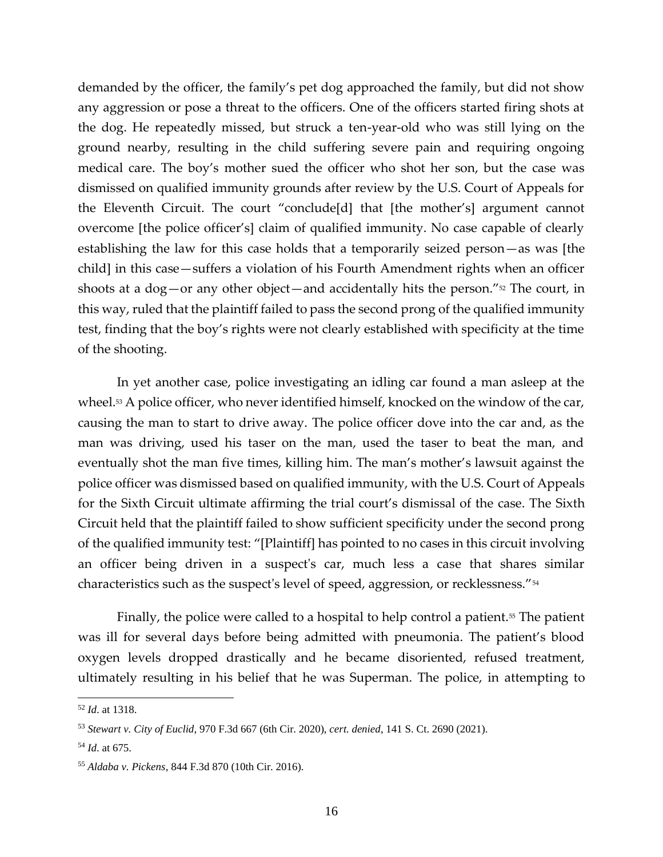demanded by the officer, the family's pet dog approached the family, but did not show any aggression or pose a threat to the officers. One of the officers started firing shots at the dog. He repeatedly missed, but struck a ten-year-old who was still lying on the ground nearby, resulting in the child suffering severe pain and requiring ongoing medical care. The boy's mother sued the officer who shot her son, but the case was dismissed on qualified immunity grounds after review by the U.S. Court of Appeals for the Eleventh Circuit. The court "conclude[d] that [the mother's] argument cannot overcome [the police officer's] claim of qualified immunity. No case capable of clearly establishing the law for this case holds that a temporarily seized person—as was [the child] in this case—suffers a violation of his Fourth Amendment rights when an officer shoots at a dog—or any other object—and accidentally hits the person." $\frac{52}{2}$  The court, in this way, ruled that the plaintiff failed to pass the second prong of the qualified immunity test, finding that the boy's rights were not clearly established with specificity at the time of the shooting.

In yet another case, police investigating an idling car found a man asleep at the wheel.<sup>53</sup> A police officer, who never identified himself, knocked on the window of the car, causing the man to start to drive away. The police officer dove into the car and, as the man was driving, used his taser on the man, used the taser to beat the man, and eventually shot the man five times, killing him. The man's mother's lawsuit against the police officer was dismissed based on qualified immunity, with the U.S. Court of Appeals for the Sixth Circuit ultimate affirming the trial court's dismissal of the case. The Sixth Circuit held that the plaintiff failed to show sufficient specificity under the second prong of the qualified immunity test: "[Plaintiff] has pointed to no cases in this circuit involving an officer being driven in a suspect's car, much less a case that shares similar characteristics such as the suspect's level of speed, aggression, or recklessness."<sup>54</sup>

Finally, the police were called to a hospital to help control a patient.<sup>55</sup> The patient was ill for several days before being admitted with pneumonia. The patient's blood oxygen levels dropped drastically and he became disoriented, refused treatment, ultimately resulting in his belief that he was Superman. The police, in attempting to

<sup>52</sup> *Id*. at 1318.

<sup>53</sup> *Stewart v. City of Euclid*, 970 F.3d 667 (6th Cir. 2020), *cert. denied*, 141 S. Ct. 2690 (2021).

<sup>54</sup> *Id*. at 675.

<sup>55</sup> *Aldaba v. Pickens*, 844 F.3d 870 (10th Cir. 2016).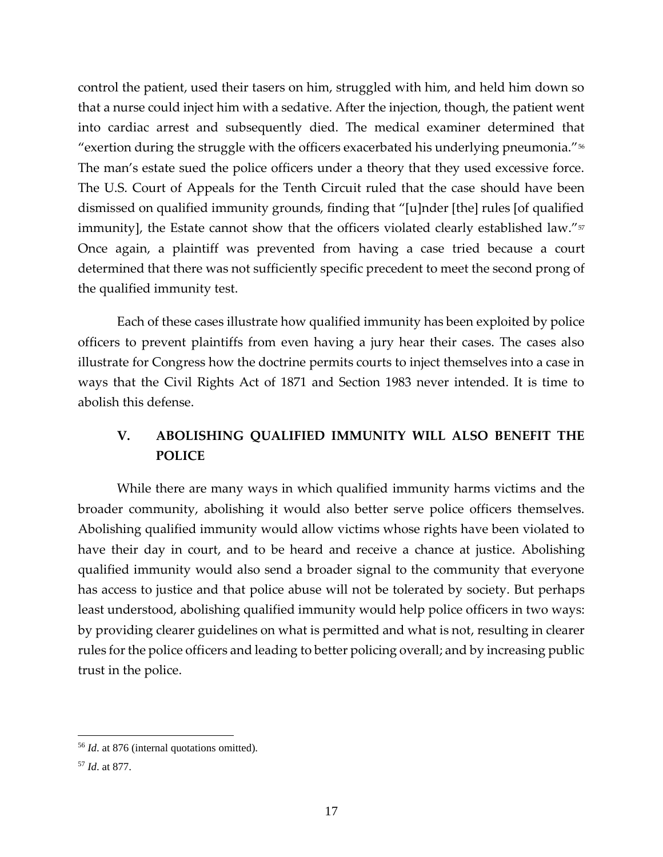control the patient, used their tasers on him, struggled with him, and held him down so that a nurse could inject him with a sedative. After the injection, though, the patient went into cardiac arrest and subsequently died. The medical examiner determined that "exertion during the struggle with the officers exacerbated his underlying pneumonia."<sup>56</sup> The man's estate sued the police officers under a theory that they used excessive force. The U.S. Court of Appeals for the Tenth Circuit ruled that the case should have been dismissed on qualified immunity grounds, finding that "[u]nder [the] rules [of qualified immunity], the Estate cannot show that the officers violated clearly established law."<sup>57</sup> Once again, a plaintiff was prevented from having a case tried because a court determined that there was not sufficiently specific precedent to meet the second prong of the qualified immunity test.

Each of these cases illustrate how qualified immunity has been exploited by police officers to prevent plaintiffs from even having a jury hear their cases. The cases also illustrate for Congress how the doctrine permits courts to inject themselves into a case in ways that the Civil Rights Act of 1871 and Section 1983 never intended. It is time to abolish this defense.

### **V. ABOLISHING QUALIFIED IMMUNITY WILL ALSO BENEFIT THE POLICE**

While there are many ways in which qualified immunity harms victims and the broader community, abolishing it would also better serve police officers themselves. Abolishing qualified immunity would allow victims whose rights have been violated to have their day in court, and to be heard and receive a chance at justice. Abolishing qualified immunity would also send a broader signal to the community that everyone has access to justice and that police abuse will not be tolerated by society. But perhaps least understood, abolishing qualified immunity would help police officers in two ways: by providing clearer guidelines on what is permitted and what is not, resulting in clearer rules for the police officers and leading to better policing overall; and by increasing public trust in the police.

<sup>56</sup> *Id*. at 876 (internal quotations omitted).

<sup>57</sup> *Id*. at 877.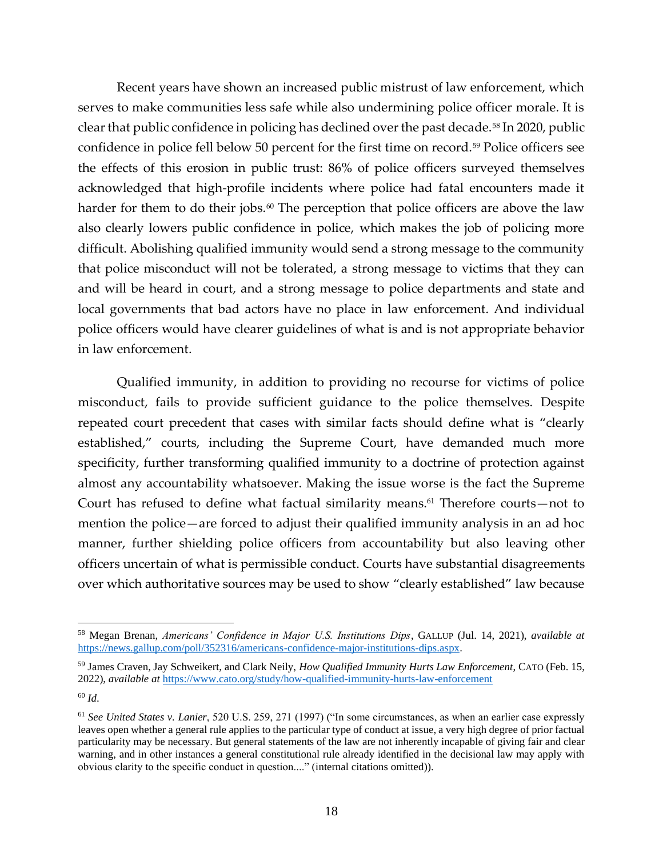Recent years have shown an increased public mistrust of law enforcement, which serves to make communities less safe while also undermining police officer morale. It is clear that public confidence in policing has declined over the past decade.<sup>58</sup> In 2020, public confidence in police fell below 50 percent for the first time on record.<sup>59</sup> Police officers see the effects of this erosion in public trust: 86% of police officers surveyed themselves acknowledged that high-profile incidents where police had fatal encounters made it harder for them to do their jobs. $60$  The perception that police officers are above the law also clearly lowers public confidence in police, which makes the job of policing more difficult. Abolishing qualified immunity would send a strong message to the community that police misconduct will not be tolerated, a strong message to victims that they can and will be heard in court, and a strong message to police departments and state and local governments that bad actors have no place in law enforcement. And individual police officers would have clearer guidelines of what is and is not appropriate behavior in law enforcement.

Qualified immunity, in addition to providing no recourse for victims of police misconduct, fails to provide sufficient guidance to the police themselves. Despite repeated court precedent that cases with similar facts should define what is "clearly established," courts, including the Supreme Court, have demanded much more specificity, further transforming qualified immunity to a doctrine of protection against almost any accountability whatsoever. Making the issue worse is the fact the Supreme Court has refused to define what factual similarity means. <sup>61</sup> Therefore courts—not to mention the police—are forced to adjust their qualified immunity analysis in an ad hoc manner, further shielding police officers from accountability but also leaving other officers uncertain of what is permissible conduct. Courts have substantial disagreements over which authoritative sources may be used to show "clearly established" law because

<sup>58</sup> Megan Brenan, *Americans' Confidence in Major U.S. Institutions Dips*, GALLUP (Jul. 14, 2021), *available at*  [https://news.gallup.com/poll/352316/americans-confidence-major-institutions-dips.aspx.](https://news.gallup.com/poll/352316/americans-confidence-major-institutions-dips.aspx)

<sup>59</sup> James Craven, Jay Schweikert, and Clark Neily, *How Qualified Immunity Hurts Law Enforcement*, CATO (Feb. 15, 2022), *available at* <https://www.cato.org/study/how-qualified-immunity-hurts-law-enforcement>

<sup>60</sup> *Id*.

<sup>61</sup> *See United States v. Lanier*, 520 U.S. 259, 271 (1997) ("In some circumstances, as when an earlier case expressly leaves open whether a general rule applies to the particular type of conduct at issue, a very high degree of prior factual particularity may be necessary. But general statements of the law are not inherently incapable of giving fair and clear warning, and in other instances a general constitutional rule already identified in the decisional law may apply with obvious clarity to the specific conduct in question...." (internal citations omitted)).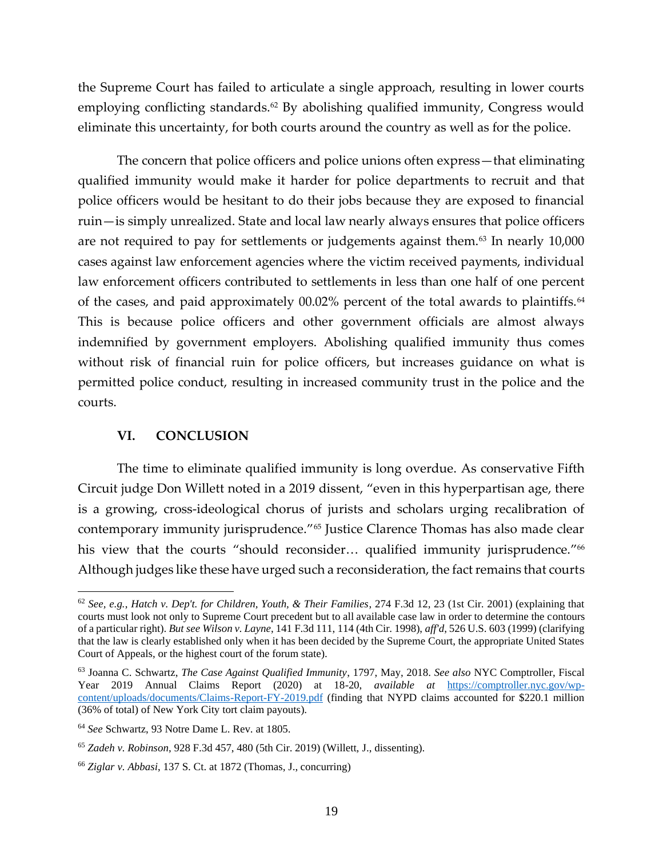the Supreme Court has failed to articulate a single approach, resulting in lower courts employing conflicting standards.<sup>62</sup> By abolishing qualified immunity, Congress would eliminate this uncertainty, for both courts around the country as well as for the police.

The concern that police officers and police unions often express—that eliminating qualified immunity would make it harder for police departments to recruit and that police officers would be hesitant to do their jobs because they are exposed to financial ruin—is simply unrealized. State and local law nearly always ensures that police officers are not required to pay for settlements or judgements against them. $63$  In nearly  $10,000$ cases against law enforcement agencies where the victim received payments, individual law enforcement officers contributed to settlements in less than one half of one percent of the cases, and paid approximately 00.02% percent of the total awards to plaintiffs.<sup>64</sup> This is because police officers and other government officials are almost always indemnified by government employers. Abolishing qualified immunity thus comes without risk of financial ruin for police officers, but increases guidance on what is permitted police conduct, resulting in increased community trust in the police and the courts.

#### **VI. CONCLUSION**

The time to eliminate qualified immunity is long overdue. As conservative Fifth Circuit judge Don Willett noted in a 2019 dissent, "even in this hyperpartisan age, there is a growing, cross-ideological chorus of jurists and scholars urging recalibration of contemporary immunity jurisprudence." <sup>65</sup> Justice Clarence Thomas has also made clear his view that the courts "should reconsider… qualified immunity jurisprudence." 66 Although judges like these have urged such a reconsideration, the fact remains that courts

<sup>62</sup> *See, e.g.*, *Hatch v. Dep't. for Children, Youth, & Their Families*, 274 F.3d 12, 23 (1st Cir. 2001) (explaining that courts must look not only to Supreme Court precedent but to all available case law in order to determine the contours of a particular right). *But see Wilson v. Layne*, 141 F.3d 111, 114 (4th Cir. 1998), *aff'd*, 526 U.S. 603 (1999) (clarifying that the law is clearly established only when it has been decided by the Supreme Court, the appropriate United States Court of Appeals, or the highest court of the forum state).

<sup>63</sup> Joanna C. Schwartz, *The Case Against Qualified Immunity*, 1797, May, 2018. *See also* NYC Comptroller, Fiscal Year 2019 Annual Claims Report (2020) at 18-20, *available at* [https://comptroller.nyc.gov/wp](https://comptroller.nyc.gov/wp-content/uploads/documents/Claims-Report-FY-2019.pdf)[content/uploads/documents/Claims-Report-FY-2019.pdf](https://comptroller.nyc.gov/wp-content/uploads/documents/Claims-Report-FY-2019.pdf) (finding that NYPD claims accounted for \$220.1 million (36% of total) of New York City tort claim payouts).

<sup>64</sup> *See* Schwartz, 93 Notre Dame L. Rev. at 1805.

<sup>65</sup> *Zadeh v. Robinson*, 928 F.3d 457, 480 (5th Cir. 2019) (Willett, J., dissenting).

<sup>66</sup> *Ziglar v. Abbasi*, 137 S. Ct. at 1872 (Thomas, J., concurring)